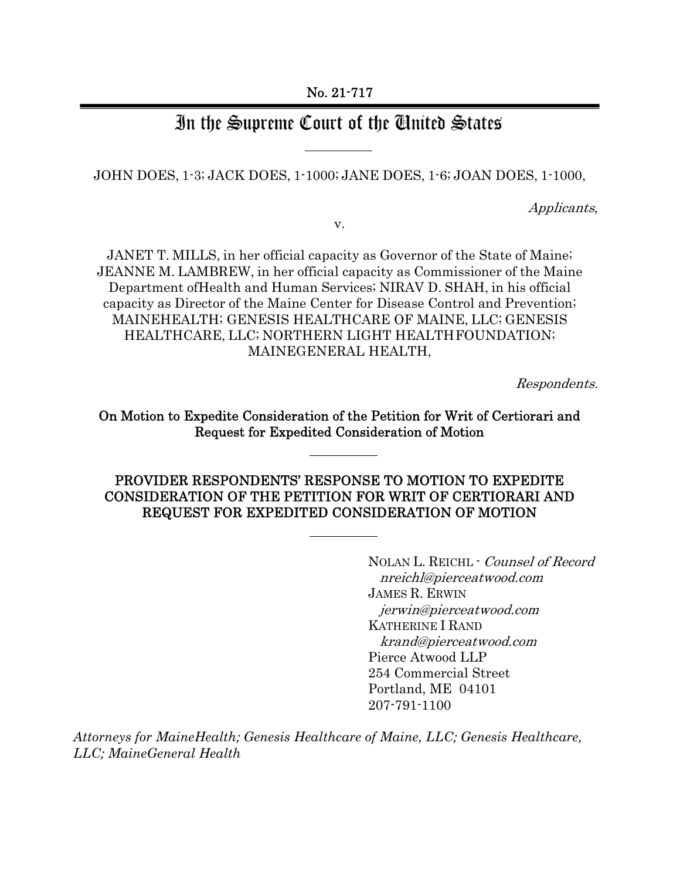# In the Supreme Court of the Ginited States

JOHN DOES, 1-3; JACK DOES, 1-1000; JANE DOES, 1-6; JOAN DOES, 1-1000,

Applicants,

v.

JANET T. MILLS, in her official capacity as Governor of the State of Maine; JEANNE M. LAMBREW, in her official capacity as Commissioner of the Maine Department of Health and Human Services; NIRAV D. SHAH, in his official capacity as Director of the Maine Center for Disease Control and Prevention; MAINEHEALTH; GENESIS HEALTHCARE OF MAINE, LLC; GENESIS HEALTHCARE, LLC; NORTHERN LIGHT HEALTH FOUNDATION; MAINEGENERAL HEALTH,

Respondents.

On Motion to Expedite Consideration of the Petition for Writ of Certiorari and Request for Expedited Consideration of Motion

# PROVIDER RESPONDENTS' RESPONSE TO MOTION TO EXPEDITE CONSIDERATION OF THE PETITION FOR WRIT OF CERTIORARI AND REQUEST FOR EXPEDITED CONSIDERATION OF MOTION

NOLAN L. REICHL - Counsel of Record nreichl@pierceatwood.com JAMES R. ERWIN jerwin@pierceatwood.com KATHERINE I RAND krand@pierceatwood.com Pierce Atwood LLP 254 Commercial Street Portland, ME 04101 207-791-1100

*Attorneys for MaineHealth; Genesis Healthcare of Maine, LLC; Genesis Healthcare, LLC; MaineGeneral Health*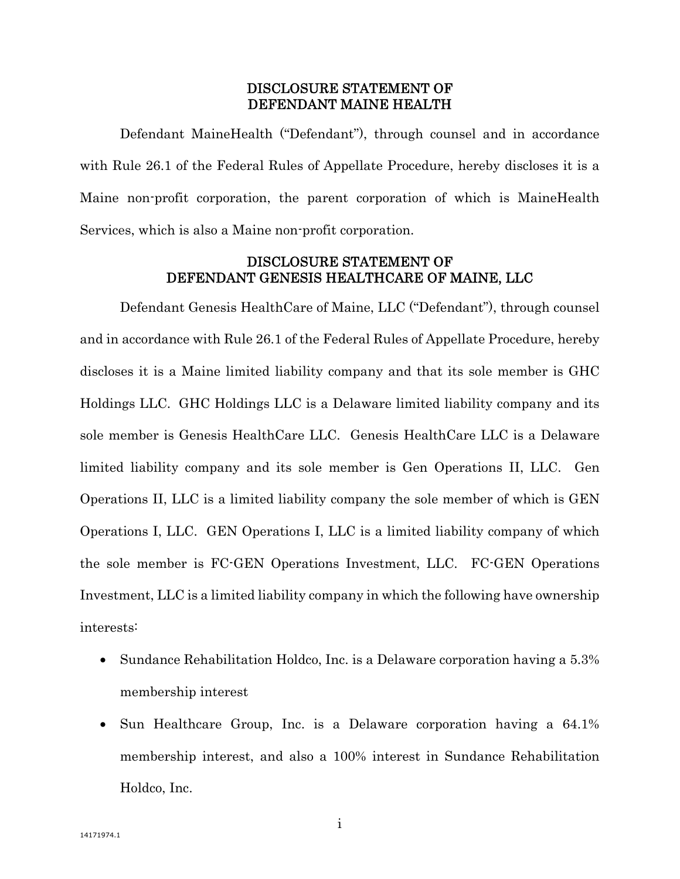### DISCLOSURE STATEMENT OF DEFENDANT MAINE HEALTH

Defendant MaineHealth ("Defendant"), through counsel and in accordance with Rule 26.1 of the Federal Rules of Appellate Procedure, hereby discloses it is a Maine non-profit corporation, the parent corporation of which is MaineHealth Services, which is also a Maine non-profit corporation.

### DISCLOSURE STATEMENT OF DEFENDANT GENESIS HEALTHCARE OF MAINE, LLC

Defendant Genesis HealthCare of Maine, LLC ("Defendant"), through counsel and in accordance with Rule 26.1 of the Federal Rules of Appellate Procedure, hereby discloses it is a Maine limited liability company and that its sole member is GHC Holdings LLC. GHC Holdings LLC is a Delaware limited liability company and its sole member is Genesis HealthCare LLC. Genesis HealthCare LLC is a Delaware limited liability company and its sole member is Gen Operations II, LLC. Gen Operations II, LLC is a limited liability company the sole member of which is GEN Operations I, LLC. GEN Operations I, LLC is a limited liability company of which the sole member is FC-GEN Operations Investment, LLC. FC-GEN Operations Investment, LLC is a limited liability company in which the following have ownership interests:

- Sundance Rehabilitation Holdco, Inc. is a Delaware corporation having a 5.3% membership interest
- Sun Healthcare Group, Inc. is a Delaware corporation having a 64.1% membership interest, and also a 100% interest in Sundance Rehabilitation Holdco, Inc.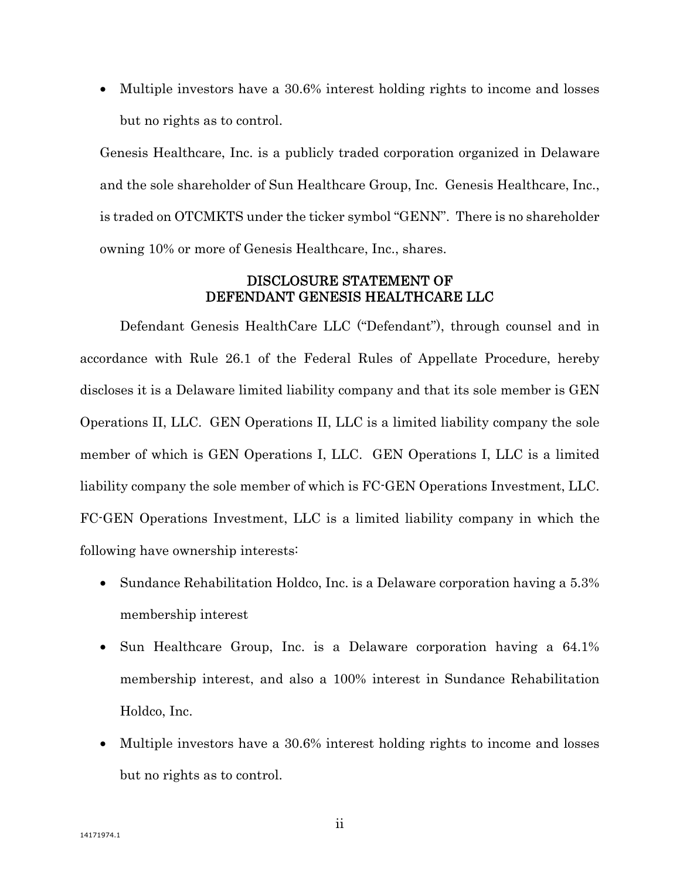• Multiple investors have a 30.6% interest holding rights to income and losses but no rights as to control.

Genesis Healthcare, Inc. is a publicly traded corporation organized in Delaware and the sole shareholder of Sun Healthcare Group, Inc. Genesis Healthcare, Inc., is traded on OTCMKTS under the ticker symbol "GENN". There is no shareholder owning 10% or more of Genesis Healthcare, Inc., shares.

### DISCLOSURE STATEMENT OF DEFENDANT GENESIS HEALTHCARE LLC

Defendant Genesis HealthCare LLC ("Defendant"), through counsel and in accordance with Rule 26.1 of the Federal Rules of Appellate Procedure, hereby discloses it is a Delaware limited liability company and that its sole member is GEN Operations II, LLC. GEN Operations II, LLC is a limited liability company the sole member of which is GEN Operations I, LLC. GEN Operations I, LLC is a limited liability company the sole member of which is FC-GEN Operations Investment, LLC. FC-GEN Operations Investment, LLC is a limited liability company in which the following have ownership interests:

- Sundance Rehabilitation Holdco, Inc. is a Delaware corporation having a 5.3% membership interest
- Sun Healthcare Group, Inc. is a Delaware corporation having a 64.1% membership interest, and also a 100% interest in Sundance Rehabilitation Holdco, Inc.
- Multiple investors have a 30.6% interest holding rights to income and losses but no rights as to control.

ii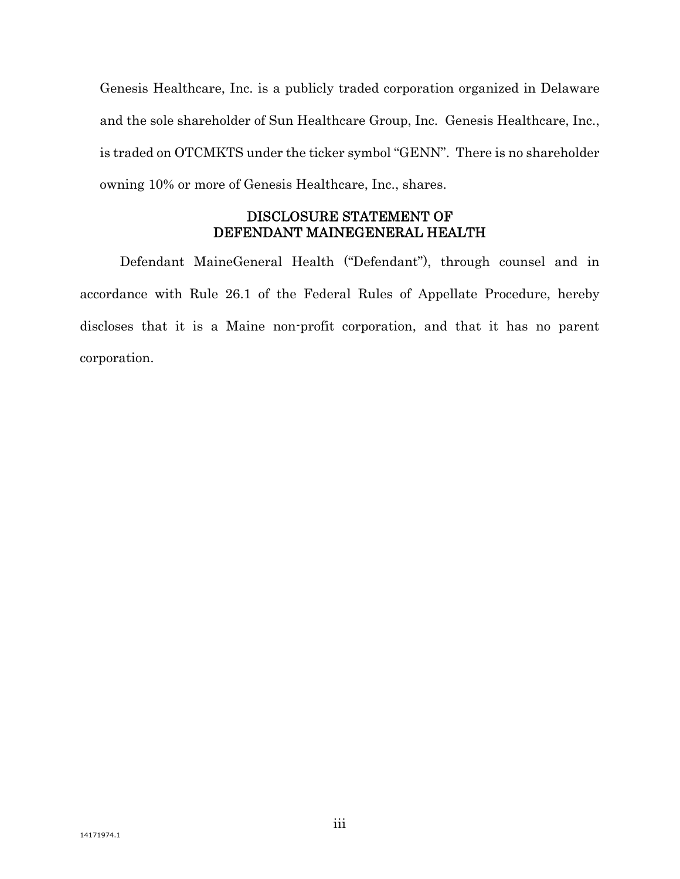Genesis Healthcare, Inc. is a publicly traded corporation organized in Delaware and the sole shareholder of Sun Healthcare Group, Inc. Genesis Healthcare, Inc., is traded on OTCMKTS under the ticker symbol "GENN". There is no shareholder owning 10% or more of Genesis Healthcare, Inc., shares.

## DISCLOSURE STATEMENT OF DEFENDANT MAINEGENERAL HEALTH

Defendant MaineGeneral Health ("Defendant"), through counsel and in accordance with Rule 26.1 of the Federal Rules of Appellate Procedure, hereby discloses that it is a Maine non-profit corporation, and that it has no parent corporation.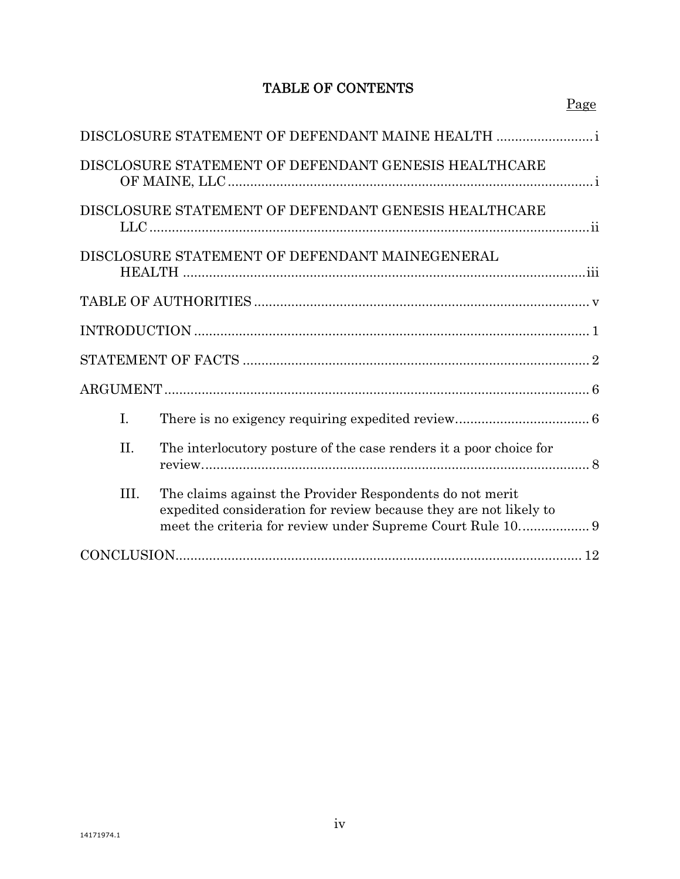# TABLE OF CONTENTS

|                | DISCLOSURE STATEMENT OF DEFENDANT MAINE HEALTH                                                                                |
|----------------|-------------------------------------------------------------------------------------------------------------------------------|
|                | DISCLOSURE STATEMENT OF DEFENDANT GENESIS HEALTHCARE                                                                          |
|                | DISCLOSURE STATEMENT OF DEFENDANT GENESIS HEALTHCARE                                                                          |
|                | DISCLOSURE STATEMENT OF DEFENDANT MAINEGENERAL                                                                                |
|                |                                                                                                                               |
|                |                                                                                                                               |
|                |                                                                                                                               |
|                |                                                                                                                               |
| $\mathbf{I}$ . |                                                                                                                               |
| II.            | The interlocutory posture of the case renders it a poor choice for                                                            |
| III.           | The claims against the Provider Respondents do not merit<br>expedited consideration for review because they are not likely to |
|                |                                                                                                                               |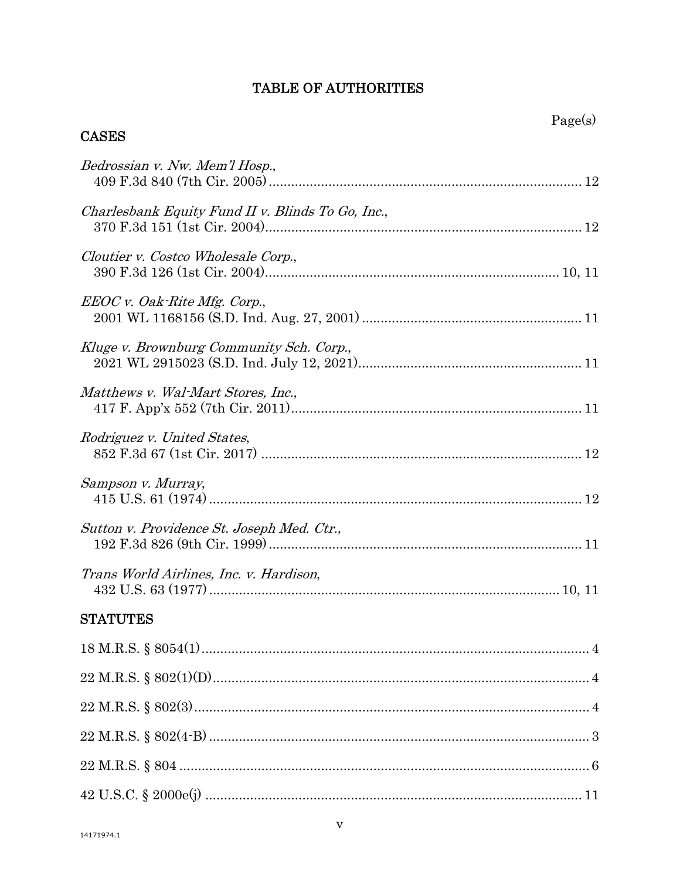## **TABLE OF AUTHORITIES**

# Bedrossian v. Nw. Mem'l Hosp., Charlesbank Equity Fund II v. Blinds To Go, Inc., Cloutier v. Costco Wholesale Corp., EEOC v. Oak-Rite Mfg. Corp., Kluge v. Brownburg Community Sch. Corp., Matthews v. Wal-Mart Stores, Inc., Rodriguez v. United States, Sampson v. Murray. Sutton v. Providence St. Joseph Med. Ctr., Trans World Airlines, Inc. v. Hardison, **STATUTES**

**CASES**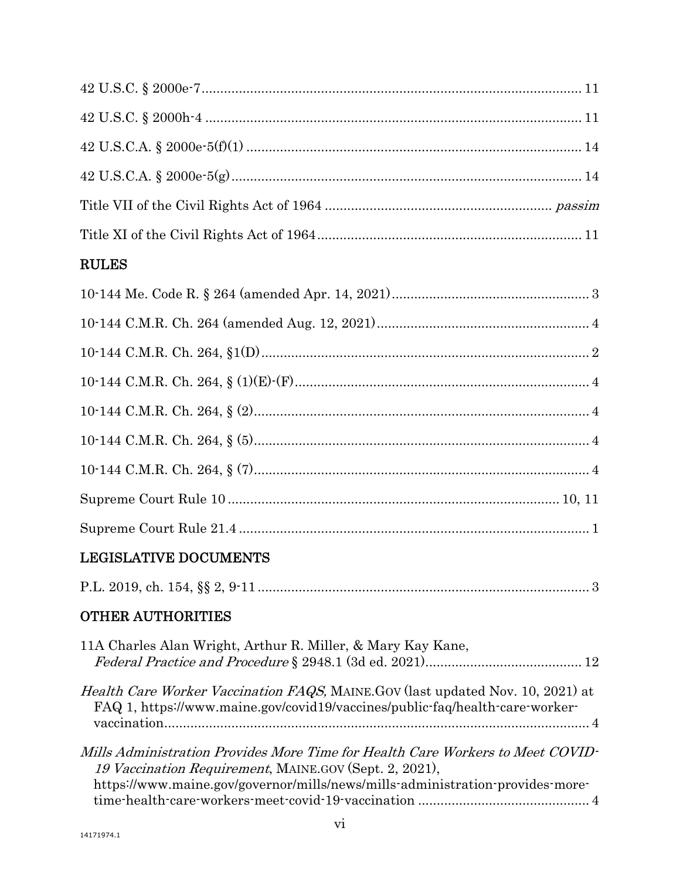# RULES

# LEGISLATIVE DOCUMENTS

|--|--|--|--|--|

# OTHER AUTHORITIES

| 11A Charles Alan Wright, Arthur R. Miller, & Mary Kay Kane,                                                                                                                                                               |  |
|---------------------------------------------------------------------------------------------------------------------------------------------------------------------------------------------------------------------------|--|
| Health Care Worker Vaccination FAQS, MAINE GOV (last updated Nov. 10, 2021) at<br>FAQ 1, https://www.maine.gov/covid19/vaccines/public-faq/health-care-worker-                                                            |  |
| Mills Administration Provides More Time for Health Care Workers to Meet COVID-<br>19 Vaccination Requirement, MAINE.GOV (Sept. 2, 2021),<br>https://www.maine.gov/governor/mills/news/mills-administration-provides-more- |  |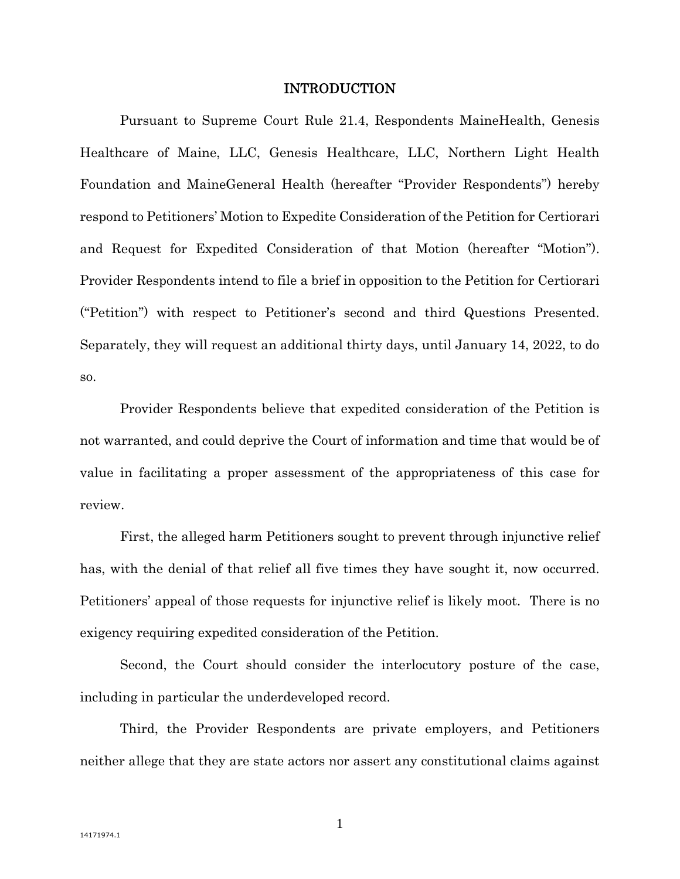#### INTRODUCTION

 Pursuant to Supreme Court Rule 21.4, Respondents MaineHealth, Genesis Healthcare of Maine, LLC, Genesis Healthcare, LLC, Northern Light Health Foundation and MaineGeneral Health (hereafter "Provider Respondents") hereby respond to Petitioners' Motion to Expedite Consideration of the Petition for Certiorari and Request for Expedited Consideration of that Motion (hereafter "Motion"). Provider Respondents intend to file a brief in opposition to the Petition for Certiorari ("Petition") with respect to Petitioner's second and third Questions Presented. Separately, they will request an additional thirty days, until January 14, 2022, to do so.

Provider Respondents believe that expedited consideration of the Petition is not warranted, and could deprive the Court of information and time that would be of value in facilitating a proper assessment of the appropriateness of this case for review.

First, the alleged harm Petitioners sought to prevent through injunctive relief has, with the denial of that relief all five times they have sought it, now occurred. Petitioners' appeal of those requests for injunctive relief is likely moot. There is no exigency requiring expedited consideration of the Petition.

Second, the Court should consider the interlocutory posture of the case, including in particular the underdeveloped record.

Third, the Provider Respondents are private employers, and Petitioners neither allege that they are state actors nor assert any constitutional claims against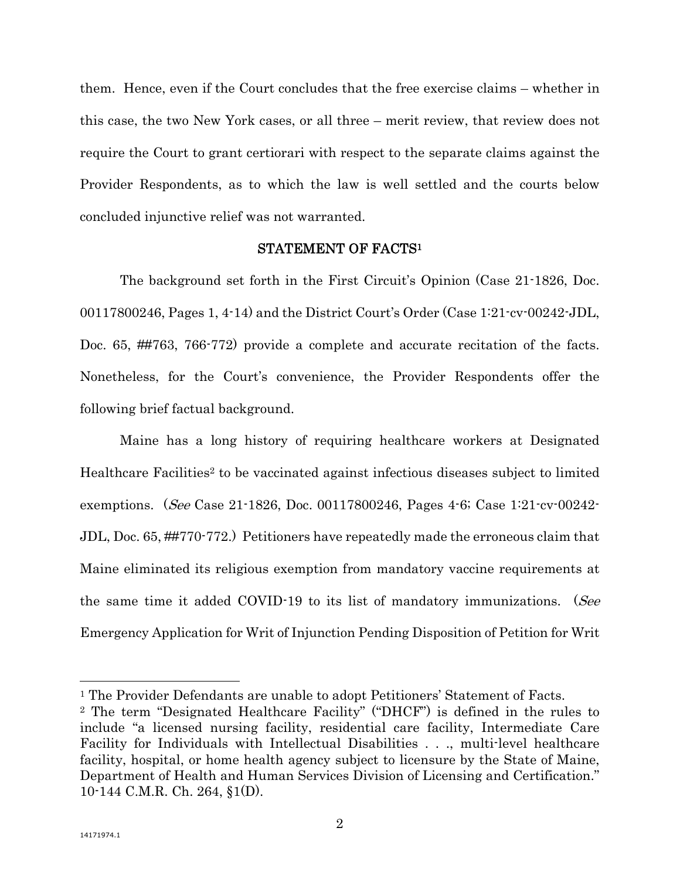them. Hence, even if the Court concludes that the free exercise claims – whether in this case, the two New York cases, or all three – merit review, that review does not require the Court to grant certiorari with respect to the separate claims against the Provider Respondents, as to which the law is well settled and the courts below concluded injunctive relief was not warranted.

#### STATEMENT OF FACTS1

The background set forth in the First Circuit's Opinion (Case 21-1826, Doc. 00117800246, Pages 1, 4-14) and the District Court's Order (Case 1:21-cv-00242-JDL, Doc. 65, ##763, 766-772) provide a complete and accurate recitation of the facts. Nonetheless, for the Court's convenience, the Provider Respondents offer the following brief factual background.

Maine has a long history of requiring healthcare workers at Designated Healthcare Facilities<sup>2</sup> to be vaccinated against infectious diseases subject to limited exemptions. (See Case 21-1826, Doc. 00117800246, Pages 4-6; Case 1:21-cv-00242- JDL, Doc. 65, ##770-772.) Petitioners have repeatedly made the erroneous claim that Maine eliminated its religious exemption from mandatory vaccine requirements at the same time it added COVID-19 to its list of mandatory immunizations. (See Emergency Application for Writ of Injunction Pending Disposition of Petition for Writ

 $\overline{a}$ 

<sup>&</sup>lt;sup>1</sup> The Provider Defendants are unable to adopt Petitioners' Statement of Facts.

<sup>2</sup> The term "Designated Healthcare Facility" ("DHCF") is defined in the rules to include "a licensed nursing facility, residential care facility, Intermediate Care Facility for Individuals with Intellectual Disabilities . . ., multi-level healthcare facility, hospital, or home health agency subject to licensure by the State of Maine, Department of Health and Human Services Division of Licensing and Certification." 10-144 C.M.R. Ch. 264, §1(D).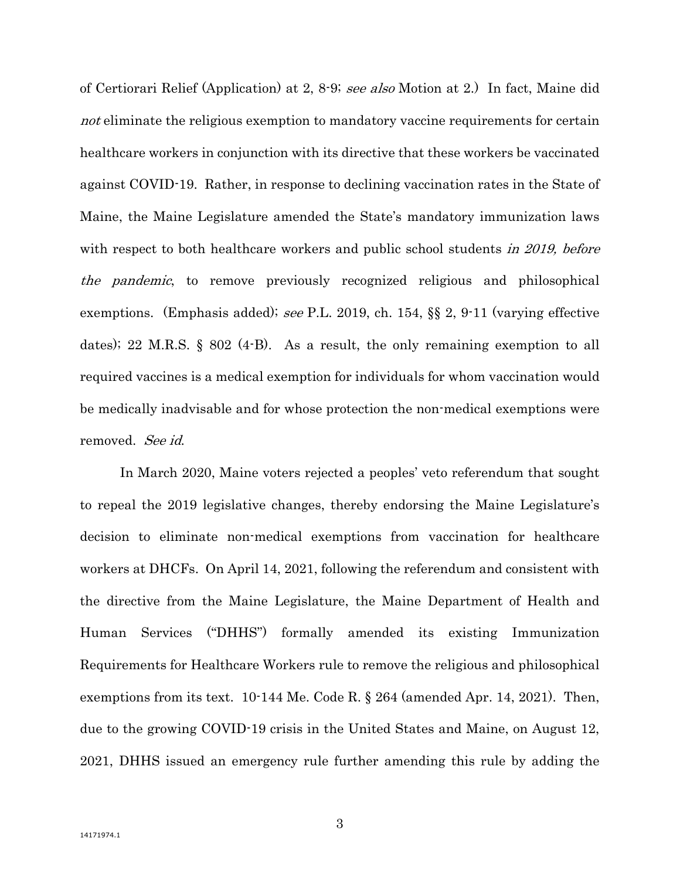of Certiorari Relief (Application) at 2, 8-9; see also Motion at 2.) In fact, Maine did not eliminate the religious exemption to mandatory vaccine requirements for certain healthcare workers in conjunction with its directive that these workers be vaccinated against COVID-19. Rather, in response to declining vaccination rates in the State of Maine, the Maine Legislature amended the State's mandatory immunization laws with respect to both healthcare workers and public school students in 2019, before the pandemic, to remove previously recognized religious and philosophical exemptions. (Emphasis added); see P.L. 2019, ch. 154, §§ 2, 9-11 (varying effective dates); 22 M.R.S. § 802 (4-B). As a result, the only remaining exemption to all required vaccines is a medical exemption for individuals for whom vaccination would be medically inadvisable and for whose protection the non-medical exemptions were removed. See id.

In March 2020, Maine voters rejected a peoples' veto referendum that sought to repeal the 2019 legislative changes, thereby endorsing the Maine Legislature's decision to eliminate non-medical exemptions from vaccination for healthcare workers at DHCFs. On April 14, 2021, following the referendum and consistent with the directive from the Maine Legislature, the Maine Department of Health and Human Services ("DHHS") formally amended its existing Immunization Requirements for Healthcare Workers rule to remove the religious and philosophical exemptions from its text. 10-144 Me. Code R. § 264 (amended Apr. 14, 2021). Then, due to the growing COVID-19 crisis in the United States and Maine, on August 12, 2021, DHHS issued an emergency rule further amending this rule by adding the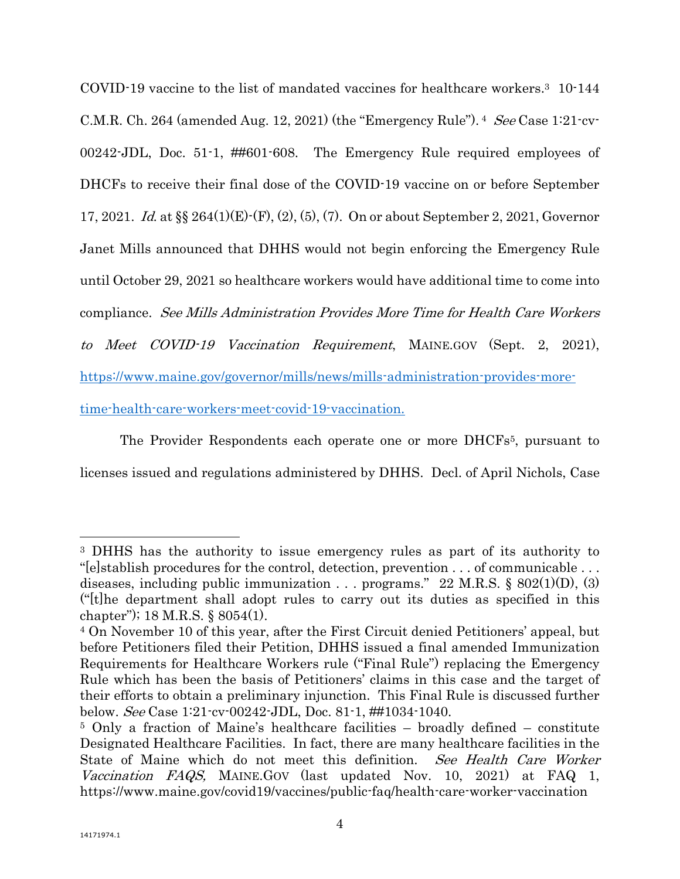COVID-19 vaccine to the list of mandated vaccines for healthcare workers.3 10-144 C.M.R. Ch. 264 (amended Aug. 12, 2021) (the "Emergency Rule").  $4$  See Case 1:21-cv-00242-JDL, Doc. 51-1, ##601-608. The Emergency Rule required employees of DHCFs to receive their final dose of the COVID-19 vaccine on or before September 17, 2021. Id. at §§ 264(1)(E)-(F), (2), (5), (7). On or about September 2, 2021, Governor Janet Mills announced that DHHS would not begin enforcing the Emergency Rule until October 29, 2021 so healthcare workers would have additional time to come into compliance. See Mills Administration Provides More Time for Health Care Workers to Meet COVID-19 Vaccination Requirement, MAINE.GOV (Sept. 2, 2021), https://www.maine.gov/governor/mills/news/mills-administration-provides-moretime-health-care-workers-meet-covid-19-vaccination.

The Provider Respondents each operate one or more DHCFs<sup>5</sup>, pursuant to licenses issued and regulations administered by DHHS. Decl. of April Nichols, Case

 $\overline{a}$ 

<sup>3</sup> DHHS has the authority to issue emergency rules as part of its authority to "[e]stablish procedures for the control, detection, prevention . . . of communicable . . . diseases, including public immunization . . . programs." 22 M.R.S. §  $802(1)(D)$ , (3) ("[t]he department shall adopt rules to carry out its duties as specified in this chapter"); 18 M.R.S. § 8054(1).

<sup>4</sup> On November 10 of this year, after the First Circuit denied Petitioners' appeal, but before Petitioners filed their Petition, DHHS issued a final amended Immunization Requirements for Healthcare Workers rule ("Final Rule") replacing the Emergency Rule which has been the basis of Petitioners' claims in this case and the target of their efforts to obtain a preliminary injunction. This Final Rule is discussed further below. See Case 1:21-cv-00242-JDL, Doc. 81-1,  $\#$ #1034-1040.<br><sup>5</sup> Only a fraction of Maine's healthcare facilities – broadly defined – constitute

Designated Healthcare Facilities. In fact, there are many healthcare facilities in the State of Maine which do not meet this definition. See Health Care Worker Vaccination FAQS, MAINE.GOV (last updated Nov. 10, 2021) at FAQ 1, https://www.maine.gov/covid19/vaccines/public-faq/health-care-worker-vaccination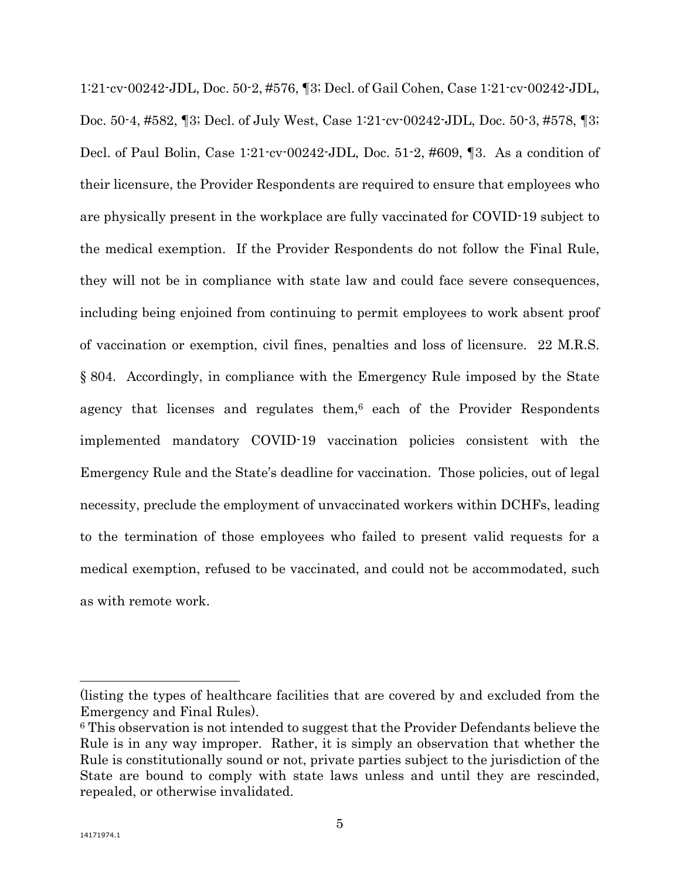1:21-cv-00242-JDL, Doc. 50-2, #576, ¶3; Decl. of Gail Cohen, Case 1:21-cv-00242-JDL, Doc. 50-4, #582, ¶3; Decl. of July West, Case 1:21-cv-00242-JDL, Doc. 50-3, #578, ¶3; Decl. of Paul Bolin, Case 1:21-cv-00242-JDL, Doc. 51-2, #609, ¶3. As a condition of their licensure, the Provider Respondents are required to ensure that employees who are physically present in the workplace are fully vaccinated for COVID-19 subject to the medical exemption. If the Provider Respondents do not follow the Final Rule, they will not be in compliance with state law and could face severe consequences, including being enjoined from continuing to permit employees to work absent proof of vaccination or exemption, civil fines, penalties and loss of licensure. 22 M.R.S. § 804. Accordingly, in compliance with the Emergency Rule imposed by the State agency that licenses and regulates them, $6$  each of the Provider Respondents implemented mandatory COVID-19 vaccination policies consistent with the Emergency Rule and the State's deadline for vaccination. Those policies, out of legal necessity, preclude the employment of unvaccinated workers within DCHFs, leading to the termination of those employees who failed to present valid requests for a medical exemption, refused to be vaccinated, and could not be accommodated, such as with remote work.

 $\overline{a}$ 

<sup>(</sup>listing the types of healthcare facilities that are covered by and excluded from the Emergency and Final Rules). 6 This observation is not intended to suggest that the Provider Defendants believe the

Rule is in any way improper. Rather, it is simply an observation that whether the Rule is constitutionally sound or not, private parties subject to the jurisdiction of the State are bound to comply with state laws unless and until they are rescinded, repealed, or otherwise invalidated.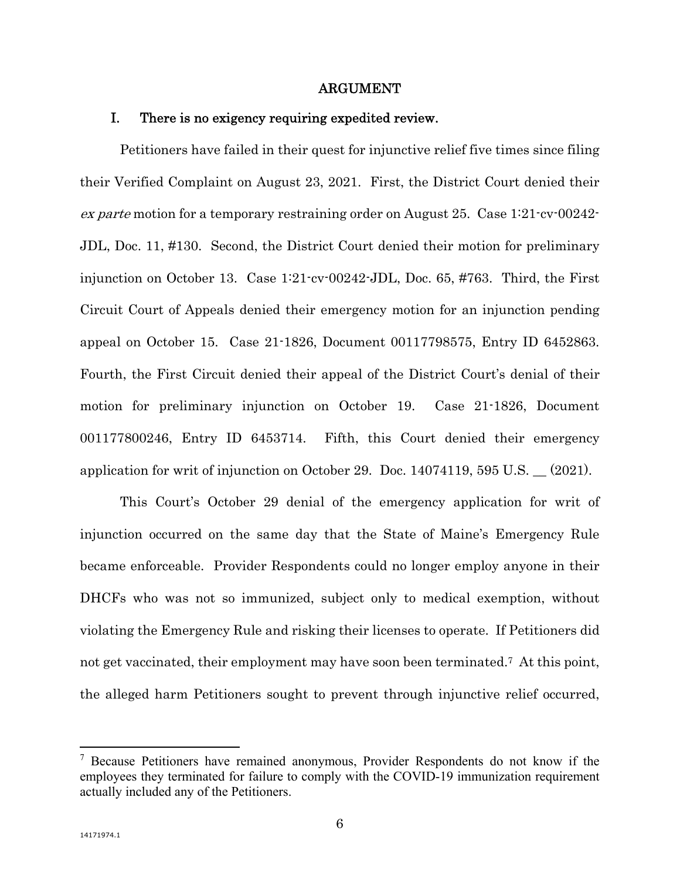#### ARGUMENT

### I. There is no exigency requiring expedited review.

Petitioners have failed in their quest for injunctive relief five times since filing their Verified Complaint on August 23, 2021. First, the District Court denied their ex parte motion for a temporary restraining order on August 25. Case 1:21-cv-00242- JDL, Doc. 11, #130. Second, the District Court denied their motion for preliminary injunction on October 13. Case 1:21-cv-00242-JDL, Doc. 65, #763. Third, the First Circuit Court of Appeals denied their emergency motion for an injunction pending appeal on October 15. Case 21-1826, Document 00117798575, Entry ID 6452863. Fourth, the First Circuit denied their appeal of the District Court's denial of their motion for preliminary injunction on October 19. Case 21-1826, Document 001177800246, Entry ID 6453714. Fifth, this Court denied their emergency application for writ of injunction on October 29. Doc. 14074119, 595 U.S. \_\_ (2021).

This Court's October 29 denial of the emergency application for writ of injunction occurred on the same day that the State of Maine's Emergency Rule became enforceable. Provider Respondents could no longer employ anyone in their DHCFs who was not so immunized, subject only to medical exemption, without violating the Emergency Rule and risking their licenses to operate. If Petitioners did not get vaccinated, their employment may have soon been terminated.<sup>7</sup> At this point, the alleged harm Petitioners sought to prevent through injunctive relief occurred,

 $7$  Because Petitioners have remained anonymous, Provider Respondents do not know if the employees they terminated for failure to comply with the COVID-19 immunization requirement actually included any of the Petitioners.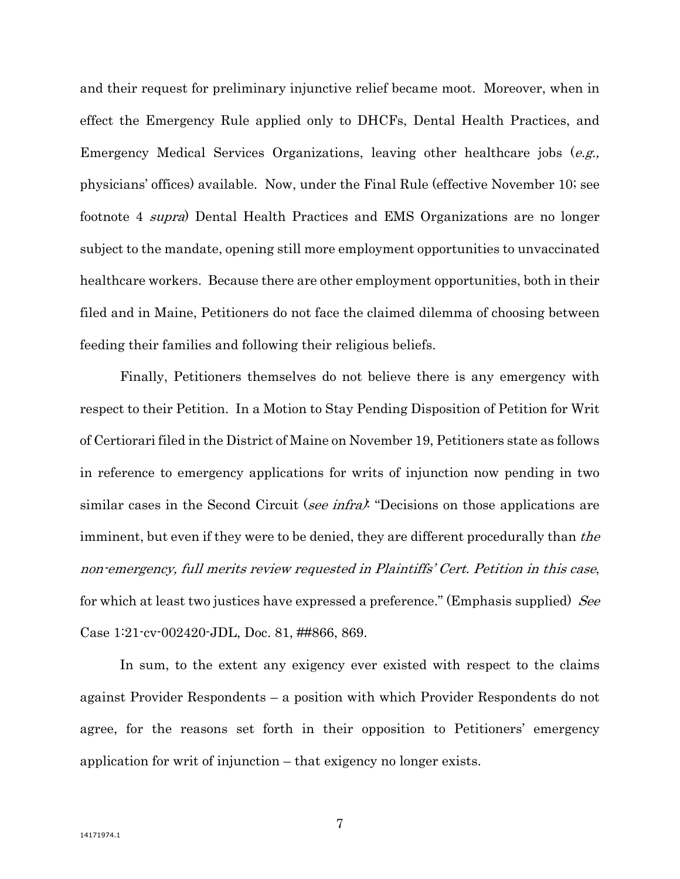and their request for preliminary injunctive relief became moot. Moreover, when in effect the Emergency Rule applied only to DHCFs, Dental Health Practices, and Emergency Medical Services Organizations, leaving other healthcare jobs  $(e.g.,)$ physicians' offices) available. Now, under the Final Rule (effective November 10; see footnote 4 supra) Dental Health Practices and EMS Organizations are no longer subject to the mandate, opening still more employment opportunities to unvaccinated healthcare workers. Because there are other employment opportunities, both in their filed and in Maine, Petitioners do not face the claimed dilemma of choosing between feeding their families and following their religious beliefs.

Finally, Petitioners themselves do not believe there is any emergency with respect to their Petition. In a Motion to Stay Pending Disposition of Petition for Writ of Certiorari filed in the District of Maine on November 19, Petitioners state as follows in reference to emergency applications for writs of injunction now pending in two similar cases in the Second Circuit (see infra). "Decisions on those applications are imminent, but even if they were to be denied, they are different procedurally than the non-emergency, full merits review requested in Plaintiffs' Cert. Petition in this case, for which at least two justices have expressed a preference." (Emphasis supplied) See Case 1:21-cv-002420-JDL, Doc. 81, ##866, 869.

In sum, to the extent any exigency ever existed with respect to the claims against Provider Respondents – a position with which Provider Respondents do not agree, for the reasons set forth in their opposition to Petitioners' emergency application for writ of injunction – that exigency no longer exists.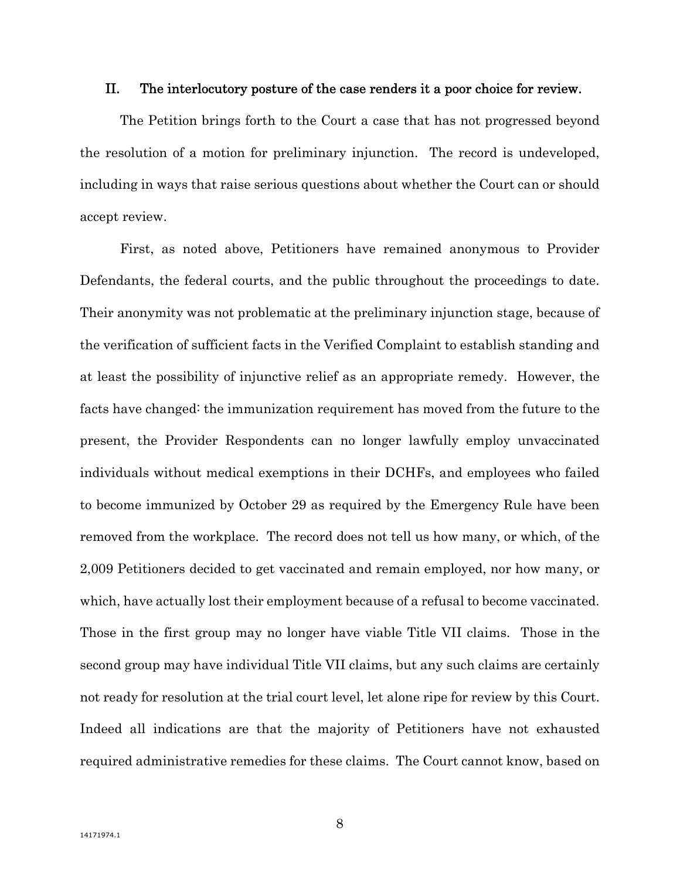#### II. The interlocutory posture of the case renders it a poor choice for review.

The Petition brings forth to the Court a case that has not progressed beyond the resolution of a motion for preliminary injunction. The record is undeveloped, including in ways that raise serious questions about whether the Court can or should accept review.

First, as noted above, Petitioners have remained anonymous to Provider Defendants, the federal courts, and the public throughout the proceedings to date. Their anonymity was not problematic at the preliminary injunction stage, because of the verification of sufficient facts in the Verified Complaint to establish standing and at least the possibility of injunctive relief as an appropriate remedy. However, the facts have changed: the immunization requirement has moved from the future to the present, the Provider Respondents can no longer lawfully employ unvaccinated individuals without medical exemptions in their DCHFs, and employees who failed to become immunized by October 29 as required by the Emergency Rule have been removed from the workplace. The record does not tell us how many, or which, of the 2,009 Petitioners decided to get vaccinated and remain employed, nor how many, or which, have actually lost their employment because of a refusal to become vaccinated. Those in the first group may no longer have viable Title VII claims. Those in the second group may have individual Title VII claims, but any such claims are certainly not ready for resolution at the trial court level, let alone ripe for review by this Court. Indeed all indications are that the majority of Petitioners have not exhausted required administrative remedies for these claims. The Court cannot know, based on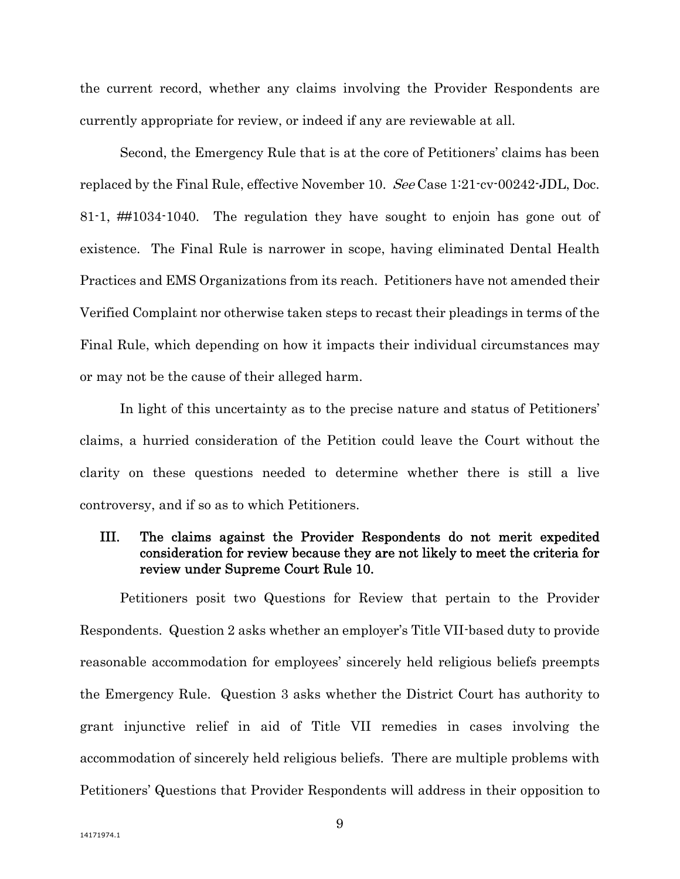the current record, whether any claims involving the Provider Respondents are currently appropriate for review, or indeed if any are reviewable at all.

Second, the Emergency Rule that is at the core of Petitioners' claims has been replaced by the Final Rule, effective November 10. See Case 1:21-cv-00242-JDL, Doc. 81-1, ##1034-1040. The regulation they have sought to enjoin has gone out of existence. The Final Rule is narrower in scope, having eliminated Dental Health Practices and EMS Organizations from its reach. Petitioners have not amended their Verified Complaint nor otherwise taken steps to recast their pleadings in terms of the Final Rule, which depending on how it impacts their individual circumstances may or may not be the cause of their alleged harm.

In light of this uncertainty as to the precise nature and status of Petitioners' claims, a hurried consideration of the Petition could leave the Court without the clarity on these questions needed to determine whether there is still a live controversy, and if so as to which Petitioners.

### III. The claims against the Provider Respondents do not merit expedited consideration for review because they are not likely to meet the criteria for review under Supreme Court Rule 10.

Petitioners posit two Questions for Review that pertain to the Provider Respondents. Question 2 asks whether an employer's Title VII-based duty to provide reasonable accommodation for employees' sincerely held religious beliefs preempts the Emergency Rule. Question 3 asks whether the District Court has authority to grant injunctive relief in aid of Title VII remedies in cases involving the accommodation of sincerely held religious beliefs. There are multiple problems with Petitioners' Questions that Provider Respondents will address in their opposition to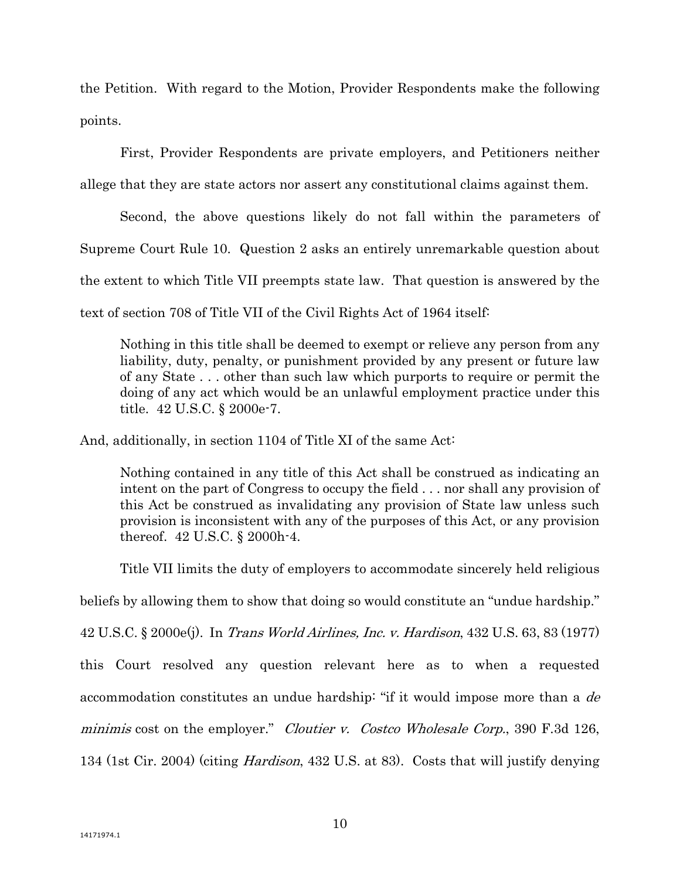the Petition. With regard to the Motion, Provider Respondents make the following points.

First, Provider Respondents are private employers, and Petitioners neither allege that they are state actors nor assert any constitutional claims against them.

Second, the above questions likely do not fall within the parameters of Supreme Court Rule 10. Question 2 asks an entirely unremarkable question about the extent to which Title VII preempts state law. That question is answered by the text of section 708 of Title VII of the Civil Rights Act of 1964 itself:

Nothing in this title shall be deemed to exempt or relieve any person from any liability, duty, penalty, or punishment provided by any present or future law of any State . . . other than such law which purports to require or permit the doing of any act which would be an unlawful employment practice under this title. 42 U.S.C. § 2000e-7.

And, additionally, in section 1104 of Title XI of the same Act:

Nothing contained in any title of this Act shall be construed as indicating an intent on the part of Congress to occupy the field . . . nor shall any provision of this Act be construed as invalidating any provision of State law unless such provision is inconsistent with any of the purposes of this Act, or any provision thereof. 42 U.S.C. § 2000h-4.

Title VII limits the duty of employers to accommodate sincerely held religious beliefs by allowing them to show that doing so would constitute an "undue hardship." 42 U.S.C. § 2000e(j). In Trans World Airlines, Inc. v. Hardison, 432 U.S. 63, 83 (1977) this Court resolved any question relevant here as to when a requested accommodation constitutes an undue hardship: "if it would impose more than a de minimis cost on the employer." Cloutier v. Costco Wholesale Corp., 390 F.3d 126, 134 (1st Cir. 2004) (citing Hardison, 432 U.S. at 83). Costs that will justify denying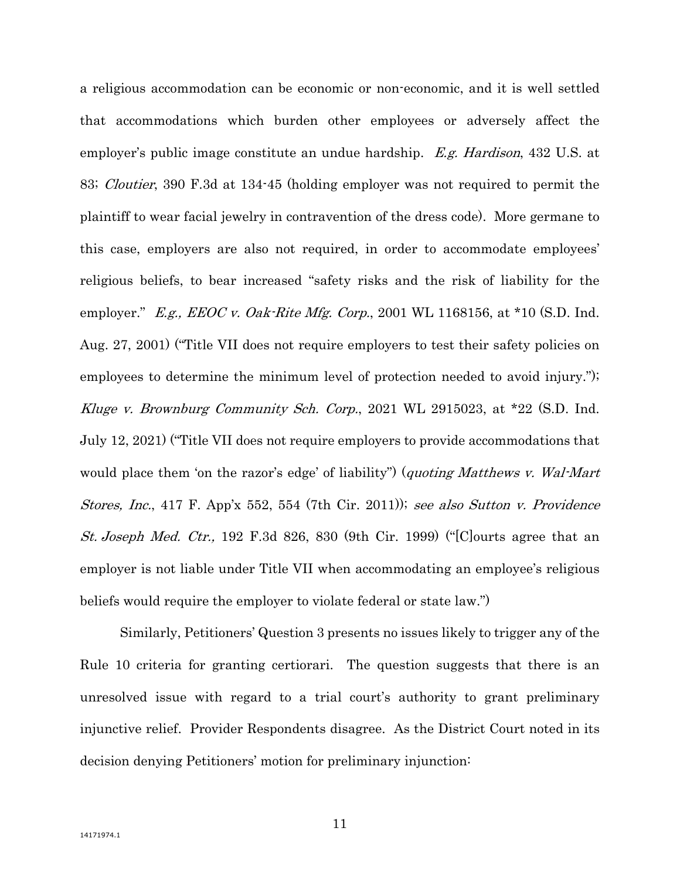a religious accommodation can be economic or non-economic, and it is well settled that accommodations which burden other employees or adversely affect the employer's public image constitute an undue hardship. E.g. Hardison, 432 U.S. at 83; Cloutier, 390 F.3d at 134-45 (holding employer was not required to permit the plaintiff to wear facial jewelry in contravention of the dress code). More germane to this case, employers are also not required, in order to accommodate employees' religious beliefs, to bear increased "safety risks and the risk of liability for the employer." E.g., EEOC v. Oak-Rite Mfg. Corp., 2001 WL 1168156, at  $*10$  (S.D. Ind. Aug. 27, 2001) ("Title VII does not require employers to test their safety policies on employees to determine the minimum level of protection needed to avoid injury."); Kluge v. Brownburg Community Sch. Corp., 2021 WL 2915023, at \*22 (S.D. Ind. July 12, 2021) ("Title VII does not require employers to provide accommodations that would place them 'on the razor's edge' of liability") (quoting Matthews v. Wal-Mart Stores, Inc., 417 F. App'x 552, 554 (7th Cir. 2011)); see also Sutton v. Providence St. Joseph Med. Ctr., 192 F.3d 826, 830 (9th Cir. 1999) ("[C]ourts agree that an employer is not liable under Title VII when accommodating an employee's religious beliefs would require the employer to violate federal or state law.")

Similarly, Petitioners' Question 3 presents no issues likely to trigger any of the Rule 10 criteria for granting certiorari. The question suggests that there is an unresolved issue with regard to a trial court's authority to grant preliminary injunctive relief. Provider Respondents disagree. As the District Court noted in its decision denying Petitioners' motion for preliminary injunction: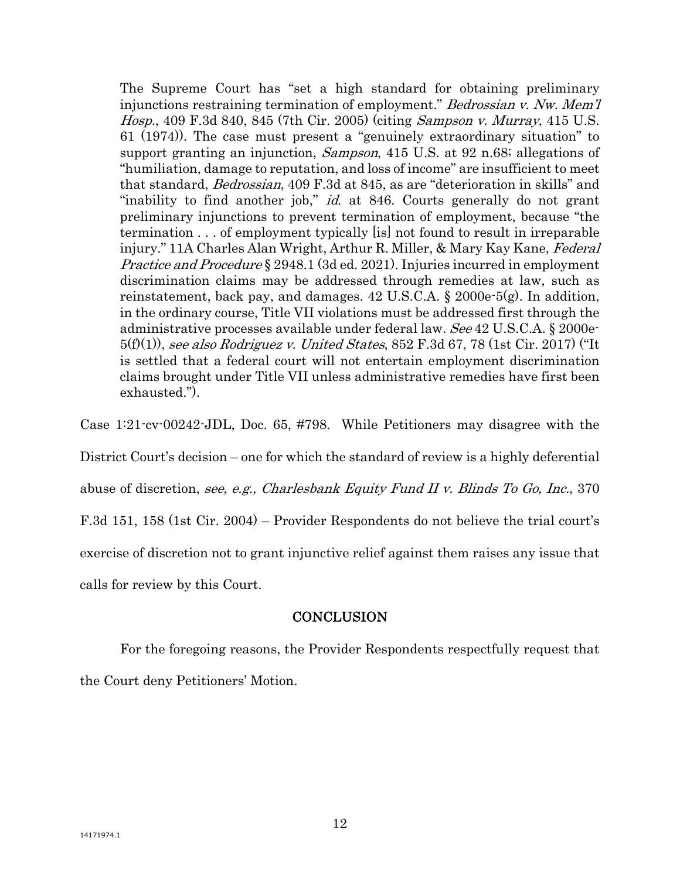The Supreme Court has "set a high standard for obtaining preliminary injunctions restraining termination of employment." Bedrossian v. Nw. Mem'l Hosp., 409 F.3d 840, 845 (7th Cir. 2005) (citing Sampson v. Murray, 415 U.S. 61 (1974)). The case must present a "genuinely extraordinary situation" to support granting an injunction, *Sampson*, 415 U.S. at 92 n.68; allegations of "humiliation, damage to reputation, and loss of income" are insufficient to meet that standard, Bedrossian, 409 F.3d at 845, as are "deterioration in skills" and "inability to find another job," *id.* at 846. Courts generally do not grant preliminary injunctions to prevent termination of employment, because "the termination . . . of employment typically [is] not found to result in irreparable injury." 11A Charles Alan Wright, Arthur R. Miller, & Mary Kay Kane, Federal Practice and Procedure § 2948.1 (3d ed. 2021). Injuries incurred in employment discrimination claims may be addressed through remedies at law, such as reinstatement, back pay, and damages. 42 U.S.C.A. § 2000e-5(g). In addition, in the ordinary course, Title VII violations must be addressed first through the administrative processes available under federal law. See 42 U.S.C.A. § 2000e-5(f)(1)), see also Rodriguez v. United States, 852 F.3d 67, 78 (1st Cir. 2017) ("It is settled that a federal court will not entertain employment discrimination claims brought under Title VII unless administrative remedies have first been exhausted.").

Case 1:21-cv-00242-JDL, Doc. 65, #798. While Petitioners may disagree with the

District Court's decision – one for which the standard of review is a highly deferential

abuse of discretion, see, e.g., Charlesbank Equity Fund II v. Blinds To Go, Inc., 370

F.3d 151, 158 (1st Cir. 2004) – Provider Respondents do not believe the trial court's

exercise of discretion not to grant injunctive relief against them raises any issue that

calls for review by this Court.

### **CONCLUSION**

 For the foregoing reasons, the Provider Respondents respectfully request that the Court deny Petitioners' Motion.